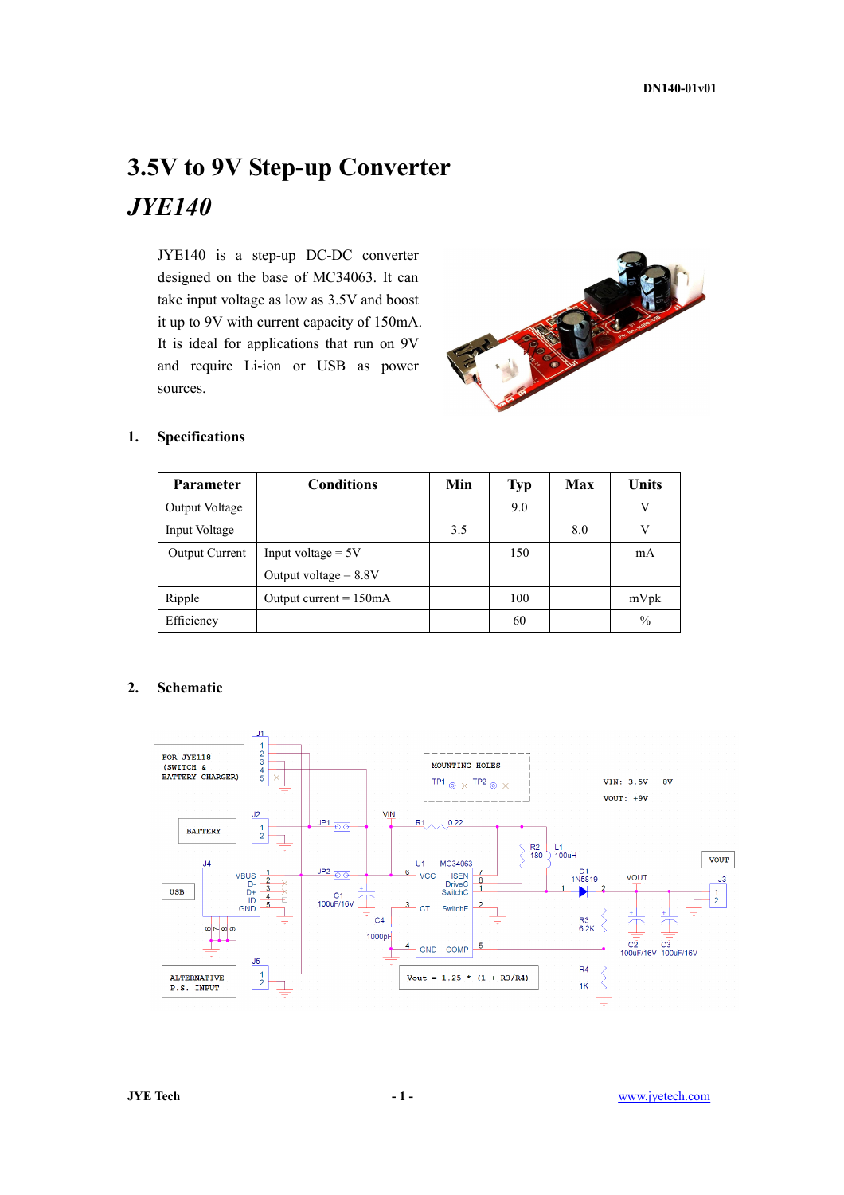# **3.5V to 9V Step-up Converter**  *JYE140*

JYE140 is a step-up DC-DC converter designed on the base of MC34063. It can take input voltage as low as 3.5V and boost it up to 9V with current capacity of 150mA. It is ideal for applications that run on 9V and require Li-ion or USB as power sources.



#### **1. Specifications**

| <b>Parameter</b>      | <b>Conditions</b>                | Min | <b>Typ</b> | Max  | Units |
|-----------------------|----------------------------------|-----|------------|------|-------|
| Output Voltage        |                                  |     | 9.0        |      | V     |
| Input Voltage         |                                  |     |            | 8.0  | V     |
| <b>Output Current</b> | Input voltage $= 5V$             |     | 150        |      | mA    |
|                       | Output voltage $= 8.8V$          |     |            |      |       |
| Ripple                | Output current $= 150 \text{mA}$ |     | 100        | mVpk |       |
| Efficiency            |                                  |     | 60         |      | $\%$  |

#### **2. Schematic**

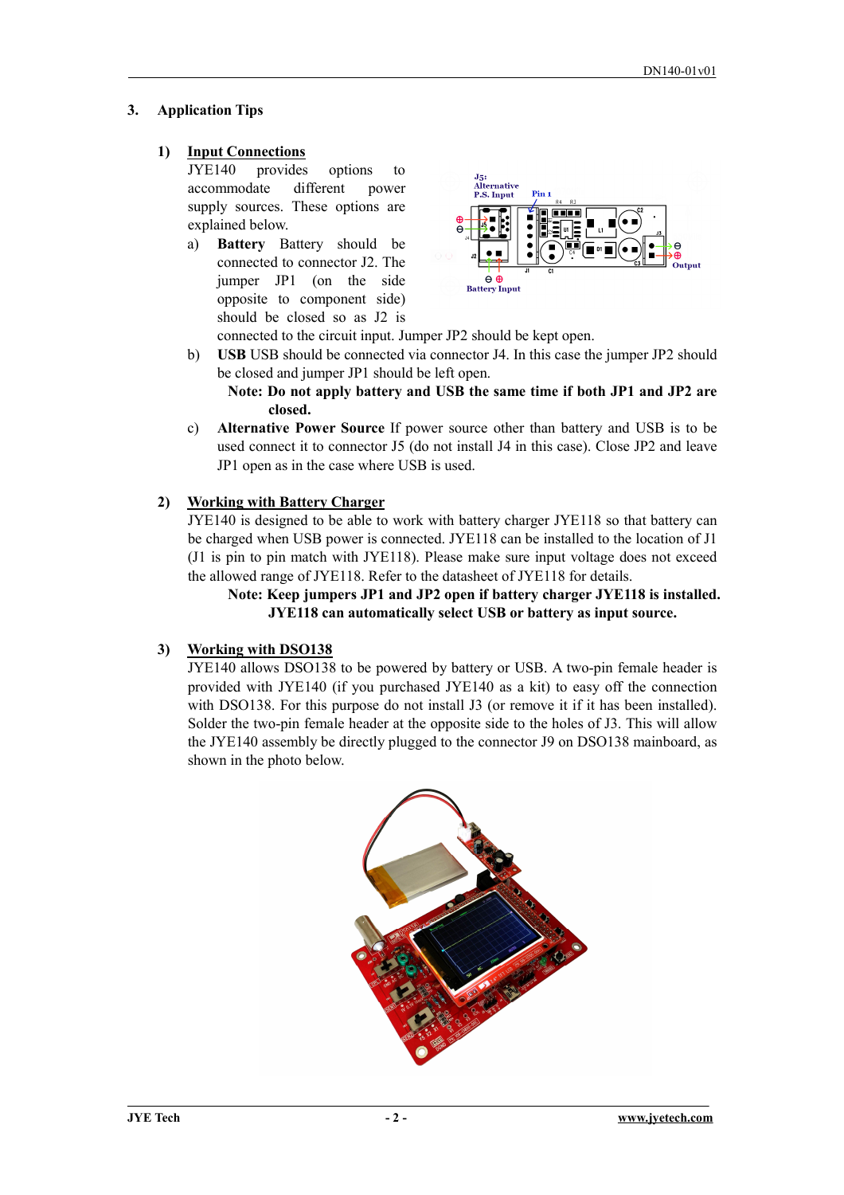## **3. Application Tips**

## **1) Input Connections**

JYE140 provides options to accommodate different power supply sources. These options are explained below.

a) **Battery** Battery should be connected to connector J2. The jumper JP1 (on the side opposite to component side) should be closed so as J2 is



connected to the circuit input. Jumper JP2 should be kept open.

b) **USB** USB should be connected via connector J4. In this case the jumper JP2 should be closed and jumper JP1 should be left open.

**Note: Do not apply battery and USB the same time if both JP1 and JP2 are closed.** 

c) **Alternative Power Source** If power source other than battery and USB is to be used connect it to connector J5 (do not install J4 in this case). Close JP2 and leave JP1 open as in the case where USB is used.

## **2) Working with Battery Charger**

JYE140 is designed to be able to work with battery charger JYE118 so that battery can be charged when USB power is connected. JYE118 can be installed to the location of J1 (J1 is pin to pin match with JYE118). Please make sure input voltage does not exceed the allowed range of JYE118. Refer to the datasheet of JYE118 for details.

#### **Note: Keep jumpers JP1 and JP2 open if battery charger JYE118 is installed. JYE118 can automatically select USB or battery as input source.**

## **3) Working with DSO138**

JYE140 allows DSO138 to be powered by battery or USB. A two-pin female header is provided with JYE140 (if you purchased JYE140 as a kit) to easy off the connection with DSO138. For this purpose do not install J3 (or remove it if it has been installed). Solder the two-pin female header at the opposite side to the holes of J3. This will allow the JYE140 assembly be directly plugged to the connector J9 on DSO138 mainboard, as shown in the photo below.